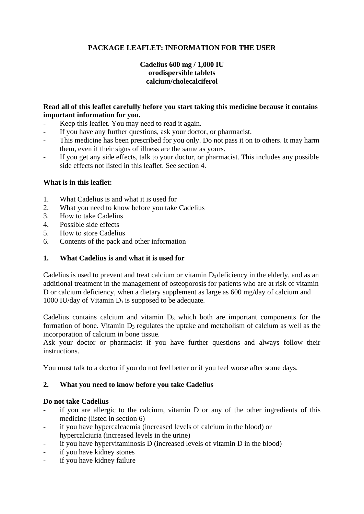# **PACKAGE LEAFLET: INFORMATION FOR THE USER**

## **Cadelius 600 mg / 1,000 IU orodispersible tablets calcium/cholecalciferol**

### **Read all of this leaflet carefully before you start taking this medicine because it contains important information for you.**

- Keep this leaflet. You may need to read it again.
- If you have any further questions, ask your doctor, or pharmacist.
- This medicine has been prescribed for you only. Do not pass it on to others. It may harm them, even if their signs of illness are the same as yours.
- If you get any side effects, talk to your doctor, or pharmacist. This includes any possible side effects not listed in this leaflet. See section 4.

### **What is in this leaflet:**

- 1. What Cadelius is and what it is used for
- 2. What you need to know before you take Cadelius
- 3. How to take Cadelius
- 4. Possible side effects
- 5. How to store Cadelius
- 6. Contents of the pack and other information

### **1. What Cadelius is and what it is used for**

Cadelius is used to prevent and treat calcium or vitamin  $D_3$  deficiency in the elderly, and as an additional treatment in the management of osteoporosis for patients who are at risk of vitamin D or calcium deficiency, when a dietary supplement as large as 600 mg/day of calcium and 1000 IU/day of Vitamin  $D_3$  is supposed to be adequate.

Cadelius contains calcium and vitamin  $D_3$  which both are important components for the formation of bone. Vitamin  $D_3$  regulates the uptake and metabolism of calcium as well as the incorporation of calcium in bone tissue.

Ask your doctor or pharmacist if you have further questions and always follow their instructions.

You must talk to a doctor if you do not feel better or if you feel worse after some days.

### **2. What you need to know before you take Cadelius**

### **Do not take Cadelius**

- if you are allergic to the calcium, vitamin D or any of the other ingredients of this medicine (listed in section 6)
- if you have hypercalcaemia (increased levels of calcium in the blood) or hypercalciuria (increased levels in the urine)
- if you have hypervitaminosis D (increased levels of vitamin D in the blood)
- if you have kidney stones
- if you have kidney failure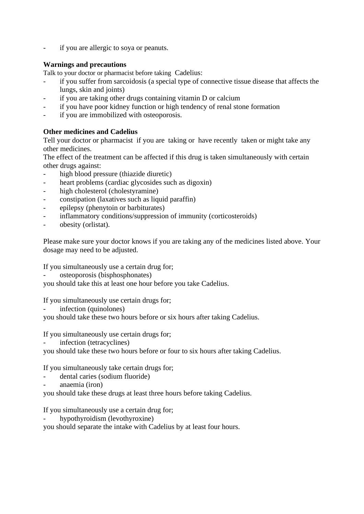if you are allergic to soya or peanuts.

## **Warnings and precautions**

Talk to your doctor or pharmacist before taking Cadelius:

- if you suffer from sarcoidosis (a special type of connective tissue disease that affects the lungs, skin and joints)
- if you are taking other drugs containing vitamin D or calcium
- if you have poor kidney function or high tendency of renal stone formation
- if you are immobilized with osteoporosis.

## **Other medicines and Cadelius**

Tell your doctor or pharmacist if you are taking or have recently taken or might take any other medicines.

The effect of the treatment can be affected if this drug is taken simultaneously with certain other drugs against:

- high blood pressure (thiazide diuretic)
- heart problems (cardiac glycosides such as digoxin)
- high cholesterol (cholestyramine)
- constipation (laxatives such as liquid paraffin)
- epilepsy (phenytoin or barbiturates)
- inflammatory conditions/suppression of immunity (corticosteroids)
- obesity (orlistat).

Please make sure your doctor knows if you are taking any of the medicines listed above. Your dosage may need to be adjusted.

If you simultaneously use a certain drug for;

osteoporosis (bisphosphonates)

you should take this at least one hour before you take Cadelius.

If you simultaneously use certain drugs for;

infection (quinolones)

you should take these two hours before or six hours after taking Cadelius.

If you simultaneously use certain drugs for;

infection (tetracyclines)

you should take these two hours before or four to six hours after taking Cadelius.

If you simultaneously take certain drugs for;

- dental caries (sodium fluoride)
- anaemia (iron)

you should take these drugs at least three hours before taking Cadelius.

If you simultaneously use a certain drug for;

hypothyroidism (levothyroxine)

you should separate the intake with Cadelius by at least four hours.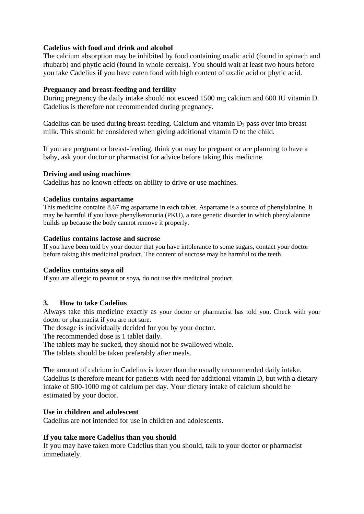## **Cadelius with food and drink and alcohol**

The calcium absorption may be inhibited by food containing oxalic acid (found in spinach and rhubarb) and phytic acid (found in whole cereals). You should wait at least two hours before you take Cadelius **if** you have eaten food with high content of oxalic acid or phytic acid.

### **Pregnancy and breast-feeding and fertility**

During pregnancy the daily intake should not exceed 1500 mg calcium and 600 IU vitamin D. Cadelius is therefore not recommended during pregnancy.

Cadelius can be used during breast-feeding. Calcium and vitamin  $D_3$  pass over into breast milk. This should be considered when giving additional vitamin D to the child.

If you are pregnant or breast-feeding, think you may be pregnant or are planning to have a baby, ask your doctor or pharmacist for advice before taking this medicine.

### **Driving and using machines**

Cadelius has no known effects on ability to drive or use machines.

### **Cadelius contains aspartame**

This medicine contains 8.67 mg aspartame in each tablet. Aspartame is a source of phenylalanine. It may be harmful if you have phenylketonuria (PKU), a rare genetic disorder in which phenylalanine builds up because the body cannot remove it properly.

## **Cadelius contains lactose and sucrose**

If you have been told by your doctor that you have intolerance to some sugars, contact your doctor before taking this medicinal product. The content of sucrose may be harmful to the teeth.

### **Cadelius contains soya oil**

If you are allergic to peanut or soya*,* do not use this medicinal product.

## **3. How to take Cadelius**

Always take this medicine exactly as your doctor or pharmacist has told you. Check with your doctor or pharmacist if you are not sure.

The dosage is individually decided for you by your doctor.

The recommended dose is 1 tablet daily.

The tablets may be sucked, they should not be swallowed whole.

The tablets should be taken preferably after meals.

The amount of calcium in Cadelius is lower than the usually recommended daily intake. Cadelius is therefore meant for patients with need for additional vitamin D, but with a dietary intake of 500-1000 mg of calcium per day. Your dietary intake of calcium should be estimated by your doctor.

### **Use in children and adolescent**

Cadelius are not intended for use in children and adolescents.

### **If you take more Cadelius than you should**

If you may have taken more Cadelius than you should, talk to your doctor or pharmacist immediately.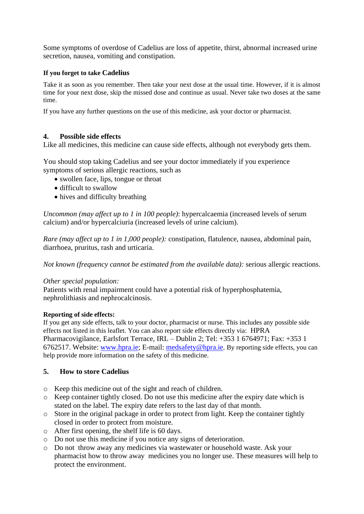Some symptoms of overdose of Cadelius are loss of appetite, thirst, abnormal increased urine secretion, nausea, vomiting and constipation.

### **If you forget to take Cadelius**

Take it as soon as you remember. Then take your next dose at the usual time. However, if it is almost time for your next dose, skip the missed dose and continue as usual. Never take two doses at the same time.

If you have any further questions on the use of this medicine, ask your doctor or pharmacist.

## **4. Possible side effects**

Like all medicines, this medicine can cause side effects, although not everybody gets them.

You should stop taking Cadelius and see your doctor immediately if you experience symptoms of serious allergic reactions, such as

- swollen face, lips, tongue or throat
- difficult to swallow
- hives and difficulty breathing

*Uncommon (may affect up to 1 in 100 people)*: hypercalcaemia (increased levels of serum calcium) and/or hypercalciuria (increased levels of urine calcium).

*Rare (may affect up to 1 in 1,000 people):* constipation, flatulence, nausea, abdominal pain, diarrhoea, pruritus, rash and urticaria.

*Not known (frequency cannot be estimated from the available data):* serious allergic reactions.

### *Other special population:*

Patients with renal impairment could have a potential risk of hyperphosphatemia, nephrolithiasis and nephrocalcinosis.

### **Reporting of side effects:**

If you get any side effects, talk to your doctor, pharmacist or nurse. This includes any possible side effects not listed in this leaflet. You can also report side effects directly via: HPRA Pharmacovigilance, Earlsfort Terrace, IRL – Dublin 2; Tel: +353 1 6764971; Fax: +353 1 6762517. Website: [www.hpra.ie;](http://www.hpra.ie/) E-mail: [medsafety@hpra.ie.](mailto:medsafety@hpra.ie) By reporting side effects, you can help provide more information on the safety of this medicine.

### **5. How to store Cadelius**

- o Keep this medicine out of the sight and reach of children.
- o Keep container tightly closed. Do not use this medicine after the expiry date which is stated on the label. The expiry date refers to the last day of that month.
- o Store in the original package in order to protect from light. Keep the container tightly closed in order to protect from moisture.
- o After first opening, the shelf life is 60 days.
- o Do not use this medicine if you notice any signs of deterioration.
- o Do not throw away any medicines via wastewater or household waste. Ask your pharmacist how to throw away medicines you no longer use. These measures will help to protect the environment.